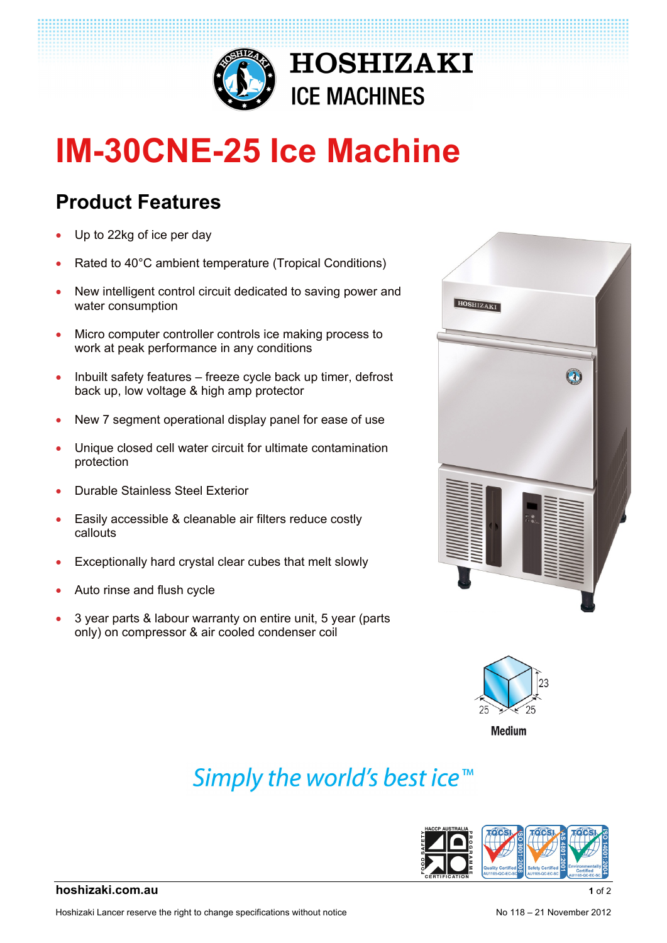

# **IM-30CNE-25 Ice Machine**

#### **Product Features**

- Up to 22kg of ice per day
- Rated to 40°C ambient temperature (Tropical Conditions)
- New intelligent control circuit dedicated to saving power and water consumption
- Micro computer controller controls ice making process to work at peak performance in any conditions
- Inbuilt safety features freeze cycle back up timer, defrost back up, low voltage & high amp protector
- New 7 segment operational display panel for ease of use
- Unique closed cell water circuit for ultimate contamination protection
- Durable Stainless Steel Exterior
- Easily accessible & cleanable air filters reduce costly callouts
- Exceptionally hard crystal clear cubes that melt slowly
- Auto rinse and flush cycle
- 3 year parts & labour warranty on entire unit, 5 year (parts only) on compressor & air cooled condenser coil





**Medium** 

## Simply the world's best ice<sup>™</sup>